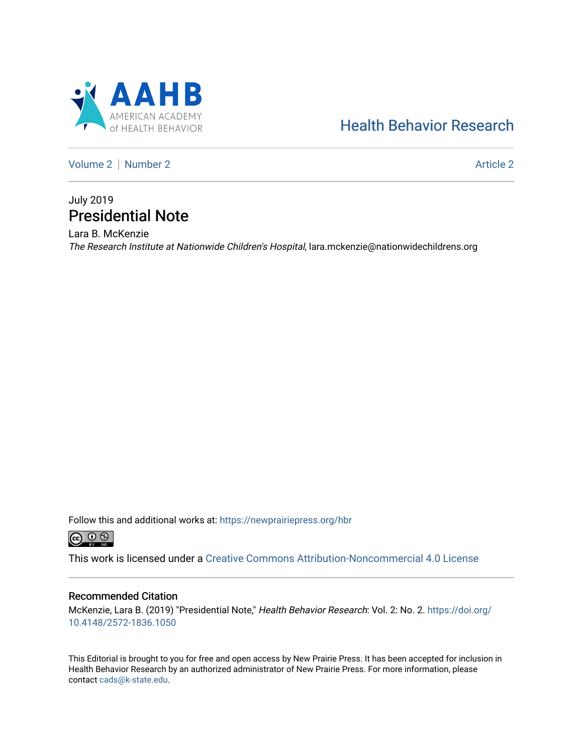

# [Health Behavior Research](https://newprairiepress.org/hbr)

[Volume 2](https://newprairiepress.org/hbr/vol2) | [Number 2](https://newprairiepress.org/hbr/vol2/iss2) Article 2

## July 2019 Presidential Note

Lara B. McKenzie The Research Institute at Nationwide Children's Hospital, lara.mckenzie@nationwidechildrens.org

Follow this and additional works at: [https://newprairiepress.org/hbr](https://newprairiepress.org/hbr?utm_source=newprairiepress.org%2Fhbr%2Fvol2%2Fiss2%2F2&utm_medium=PDF&utm_campaign=PDFCoverPages) 



This work is licensed under a [Creative Commons Attribution-Noncommercial 4.0 License](https://creativecommons.org/licenses/by-nc/4.0/)

#### Recommended Citation

McKenzie, Lara B. (2019) "Presidential Note," Health Behavior Research: Vol. 2: No. 2. [https://doi.org/](https://doi.org/10.4148/2572-1836.1050) [10.4148/2572-1836.1050](https://doi.org/10.4148/2572-1836.1050)

This Editorial is brought to you for free and open access by New Prairie Press. It has been accepted for inclusion in Health Behavior Research by an authorized administrator of New Prairie Press. For more information, please contact [cads@k-state.edu](mailto:cads@k-state.edu).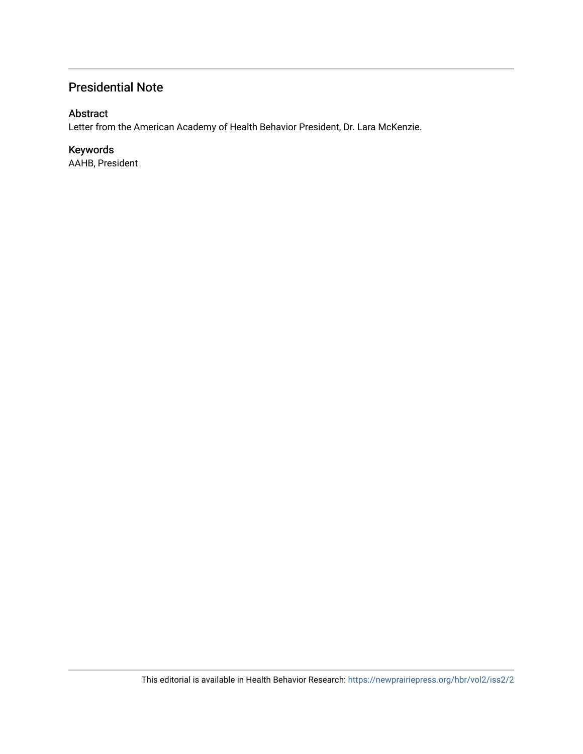### Presidential Note

### Abstract

Letter from the American Academy of Health Behavior President, Dr. Lara McKenzie.

### Keywords

AAHB, President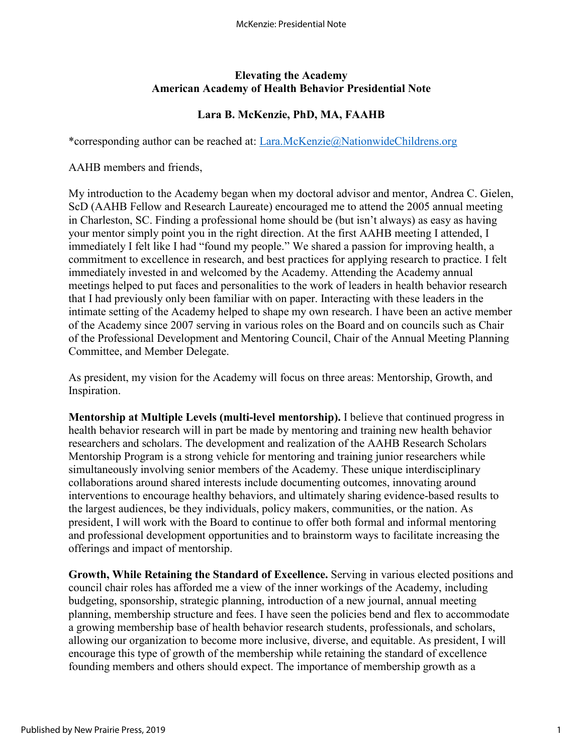#### **Elevating the Academy American Academy of Health Behavior Presidential Note**

### **Lara B. McKenzie, PhD, MA, FAAHB**

\*corresponding author can be reached at: [Lara.McKenzie@NationwideChildrens.org](mailto:Lara.McKenzie@NationwideChildrens.org)

AAHB members and friends,

My introduction to the Academy began when my doctoral advisor and mentor, Andrea C. Gielen, ScD (AAHB Fellow and Research Laureate) encouraged me to attend the 2005 annual meeting in Charleston, SC. Finding a professional home should be (but isn't always) as easy as having your mentor simply point you in the right direction. At the first AAHB meeting I attended, I immediately I felt like I had "found my people." We shared a passion for improving health, a commitment to excellence in research, and best practices for applying research to practice. I felt immediately invested in and welcomed by the Academy. Attending the Academy annual meetings helped to put faces and personalities to the work of leaders in health behavior research that I had previously only been familiar with on paper. Interacting with these leaders in the intimate setting of the Academy helped to shape my own research. I have been an active member of the Academy since 2007 serving in various roles on the Board and on councils such as Chair of the Professional Development and Mentoring Council, Chair of the Annual Meeting Planning Committee, and Member Delegate.

As president, my vision for the Academy will focus on three areas: Mentorship, Growth, and Inspiration.

**Mentorship at Multiple Levels (multi-level mentorship).** I believe that continued progress in health behavior research will in part be made by mentoring and training new health behavior researchers and scholars. The development and realization of the AAHB Research Scholars Mentorship Program is a strong vehicle for mentoring and training junior researchers while simultaneously involving senior members of the Academy. These unique interdisciplinary collaborations around shared interests include documenting outcomes, innovating around interventions to encourage healthy behaviors, and ultimately sharing evidence-based results to the largest audiences, be they individuals, policy makers, communities, or the nation. As president, I will work with the Board to continue to offer both formal and informal mentoring and professional development opportunities and to brainstorm ways to facilitate increasing the offerings and impact of mentorship.

**Growth, While Retaining the Standard of Excellence.** Serving in various elected positions and council chair roles has afforded me a view of the inner workings of the Academy, including budgeting, sponsorship, strategic planning, introduction of a new journal, annual meeting planning, membership structure and fees. I have seen the policies bend and flex to accommodate a growing membership base of health behavior research students, professionals, and scholars, allowing our organization to become more inclusive, diverse, and equitable. As president, I will encourage this type of growth of the membership while retaining the standard of excellence founding members and others should expect. The importance of membership growth as a